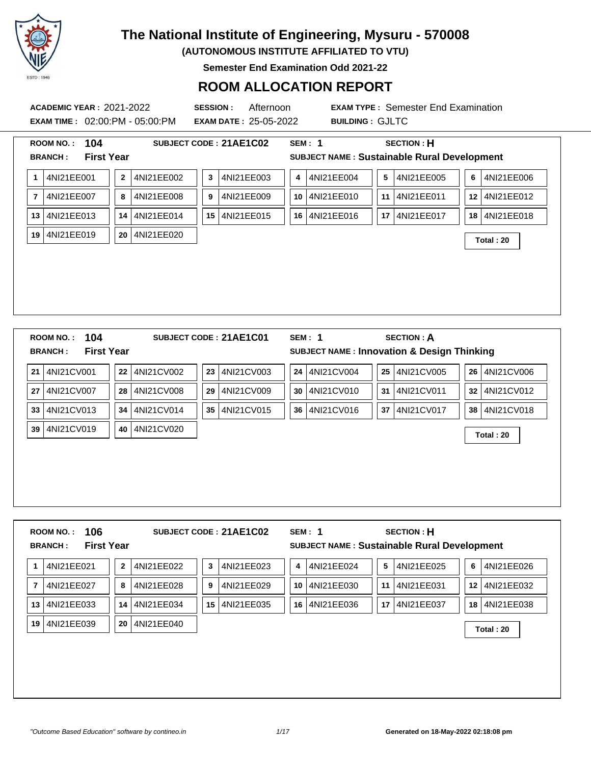

**(AUTONOMOUS INSTITUTE AFFILIATED TO VTU)**

**Semester End Examination Odd 2021-22**

### **ROOM ALLOCATION REPORT**

**EXAM TIME :** 02:00:PM - 05:00:PM **EXAM DATE :** 25-05-2022 **BUILDING :** GJLTC

| 104<br><b>ROOM NO.:</b>             | SUBJECT CODE: 21AE1C02                        | <b>SECTION: H</b><br><b>SEM: 1</b>                    |                       |
|-------------------------------------|-----------------------------------------------|-------------------------------------------------------|-----------------------|
| <b>First Year</b><br><b>BRANCH:</b> |                                               | SUBJECT NAME : Sustainable Rural Development          |                       |
| 4NI21EE001<br>1                     | $\mathbf{2}$<br>4NI21EE002<br>4NI21EE003<br>3 | 4NI21EE004<br>4NI21EE005<br>5<br>4                    | 4NI21EE006<br>6       |
| 4NI21EE007<br>$\overline{7}$        | 4NI21EE009<br>4NI21EE008<br>8<br>9            | 4NI21EE010<br>4NI21EE011<br>10 <sup>°</sup><br>11     | 4NI21EE012<br>$12 \,$ |
| 4NI21EE013<br>13                    | 4NI21EE015<br>4NI21EE014<br>15<br>14          | 4NI21EE016<br>4NI21EE017<br>16<br>17 I                | 4NI21EE018<br>18      |
| 4NI21EE019<br>19                    | 4NI21EE020<br>20                              |                                                       | Total: 20             |
|                                     |                                               |                                                       |                       |
|                                     |                                               |                                                       |                       |
|                                     |                                               |                                                       |                       |
|                                     |                                               |                                                       |                       |
|                                     |                                               |                                                       |                       |
|                                     |                                               |                                                       |                       |
| 104<br><b>ROOM NO.:</b>             | SUBJECT CODE: 21AE1C01                        | <b>SECTION: A</b><br><b>SEM: 1</b>                    |                       |
| <b>First Year</b><br><b>BRANCH:</b> |                                               | <b>SUBJECT NAME: Innovation &amp; Design Thinking</b> |                       |
| 4NI21CV001<br>21                    | 4NI21CV002<br>4NI21CV003<br>22<br>23          | 4NI21CV004<br>25 4NI21CV005<br>24                     | 4NI21CV006<br>26      |
| 4NI21CV007<br>27                    | 4NI21CV008<br>4NI21CV009<br>28<br>29          | 4NI21CV010<br>4NI21CV011<br>30<br>31                  | 4NI21CV012<br>32      |
| 4NI21CV013<br>33                    | 4NI21CV014<br>4NI21CV015<br>34<br>35          | 4NI21CV016<br>4NI21CV017<br>36<br>37                  | 4NI21CV018<br>38      |
| 4NI21CV019<br>39                    | 4NI21CV020<br>40                              |                                                       |                       |
|                                     |                                               |                                                       | Total: 20             |
|                                     |                                               |                                                       |                       |
|                                     |                                               |                                                       |                       |

| 106<br><b>ROOM NO.:</b><br><b>First Year</b><br><b>BRANCH:</b> |                            | SUBJECT CODE: 21AE1C02 | SEM: 1           | <b>SECTION: H</b><br><b>SUBJECT NAME: Sustainable Rural Development</b> |                  |
|----------------------------------------------------------------|----------------------------|------------------------|------------------|-------------------------------------------------------------------------|------------------|
| 4NI21EE021                                                     | $\mathbf{2}$<br>4NI21EE022 | 4NI21EE023<br>3        | 4NI21EE024<br>4  | 5<br>4NI21EE025                                                         | 4NI21EE026<br>6  |
| 4NI21EE027<br>7                                                | 8<br>4NI21EE028            | 9<br>4NI21EE029        | 4NI21EE030<br>10 | 11<br>4NI21EE031                                                        | 12<br>4NI21EE032 |
| 4NI21EE033<br>13                                               | 4NI21EE034<br>14           | 4NI21EE035<br>15       | 4NI21EE036<br>16 | 17<br>4NI21EE037                                                        | 4NI21EE038<br>18 |
| 4NI21EE039<br>19                                               | 4NI21EE040<br>20           |                        |                  |                                                                         | Total: 20        |
|                                                                |                            |                        |                  |                                                                         |                  |
|                                                                |                            |                        |                  |                                                                         |                  |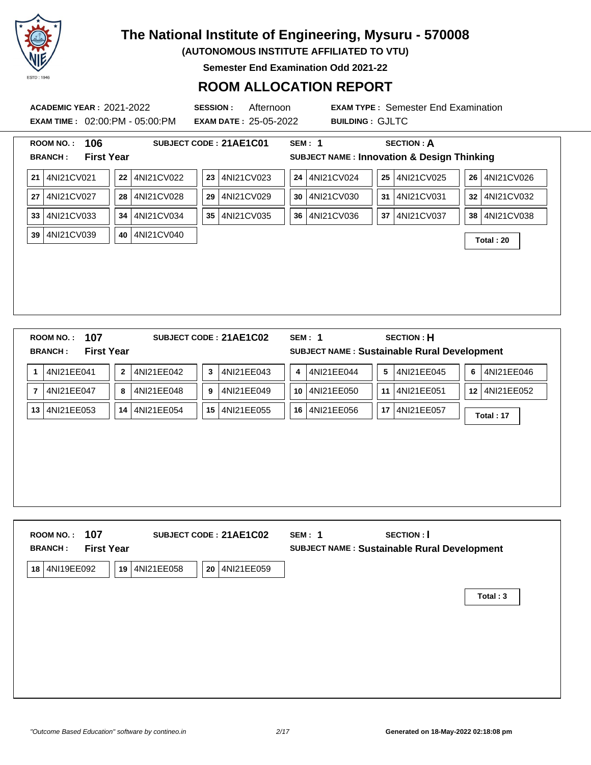

**(AUTONOMOUS INSTITUTE AFFILIATED TO VTU)**

**Semester End Examination Odd 2021-22**

### **ROOM ALLOCATION REPORT**

**ACADEMIC YEAR :** 2021-2022 **SESSION :** Afternoon **EXAM TYPE :** Semester End Examination **EXAM TIME :** 02:00:PM - 05:00:PM **EXAM DATE :** 25-05-2022 **BUILDING :** GJLTC **ROOM NO. : 106 SUBJECT CODE : 21AE1C01 SEM : 1 SECTION : A BRANCH : First Year SUBJECT NAME : Innovation & Design Thinking 21** 4NI21CV021 **22** 4NI21CV022 **23** 4NI21CV023 **24** 4NI21CV024 **25** 4NI21CV025 **26** 4NI21CV026 **27** 4NI21CV027 **28** 4NI21CV028 **29** 4NI21CV029 **30** 4NI21CV030 **31** 4NI21CV031 **32** 4NI21CV032 **33** 4NI21CV033 **34** 4NI21CV034 **35** 4NI21CV035 **36** 4NI21CV036 **37** 4NI21CV037 **38** 4NI21CV038 **<sup>39</sup>** 4NI21CV039 **<sup>40</sup>** 4NI21CV040 **Total : 20 ROOM NO. : 107 SUBJECT CODE : 21AE1C02 SEM : 1 SECTION : H BRANCH : First Year SUBJECT NAME : Sustainable Rural Development 1** 4NI21EE041 **2** 4NI21EE042 **3** 4NI21EE043 **4** 4NI21EE044 **5** 4NI21EE045 **6** 4NI21EE046 **7** 4NI21EE047 **8** 4NI21EE048 **9** 4NI21EE049 **10** 4NI21EE050 **11** 4NI21EE051 **12** 4NI21EE052 **<sup>13</sup>** 4NI21EE053 **<sup>14</sup>** 4NI21EE054 **<sup>15</sup>** 4NI21EE055 **<sup>16</sup>** 4NI21EE056 **<sup>17</sup>** 4NI21EE057 **Total : 17**

| 107<br><b>ROOM NO.:</b><br><b>First Year</b><br><b>BRANCH:</b> | SUBJECT CODE: 21AE1C02         | SECTION :  <br>SEM: 1<br>SUBJECT NAME : Sustainable Rural Development |          |
|----------------------------------------------------------------|--------------------------------|-----------------------------------------------------------------------|----------|
| 4NI19EE092<br>18<br>19                                         | 4NI21EE058<br>20<br>4NI21EE059 |                                                                       |          |
|                                                                |                                |                                                                       | Total: 3 |
|                                                                |                                |                                                                       |          |
|                                                                |                                |                                                                       |          |
|                                                                |                                |                                                                       |          |
|                                                                |                                |                                                                       |          |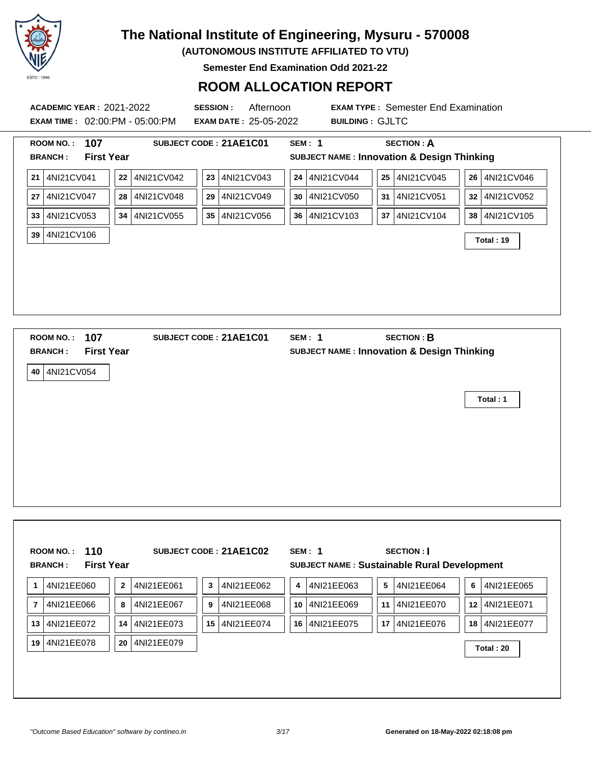

**(AUTONOMOUS INSTITUTE AFFILIATED TO VTU)**

**Semester End Examination Odd 2021-22**

| <b>ACADEMIC YEAR: 2021-2022</b><br><b>EXAM TIME: 02:00:PM - 05:00:PM</b> | <b>SESSION:</b><br>Afternoon<br><b>EXAM DATE: 25-05-2022</b> | <b>EXAM TYPE: Semester End Examination</b><br><b>BUILDING: GJLTC</b> |                 |
|--------------------------------------------------------------------------|--------------------------------------------------------------|----------------------------------------------------------------------|-----------------|
| ROOM NO.: 107                                                            | SUBJECT CODE: 21AE1C01                                       | <b>SECTION: A</b><br><b>SEM: 1</b>                                   |                 |
| <b>BRANCH:</b><br><b>First Year</b>                                      |                                                              | <b>SUBJECT NAME: Innovation &amp; Design Thinking</b>                |                 |
| 21 4NI21CV041                                                            | 22 4NI21CV042<br>23 4NI21CV043                               | 24 4NI21CV044<br>25 4NI21CV045                                       | 26 4NI21CV046   |
| 27 4NI21CV047                                                            | 28 4NI21CV048<br>4NI21CV049<br>29                            | 4NI21CV050<br>31 4NI21CV051<br>30                                    | 32 4NI21CV052   |
| 33 4NI21CV053                                                            | 34 4NI21CV055<br>35 4NI21CV056                               | 36 4NI21CV103<br>37   4NI21CV104                                     | 38   4NI21CV105 |
| 39 4NI21CV106                                                            |                                                              |                                                                      | Total: 19       |
|                                                                          |                                                              |                                                                      |                 |
|                                                                          |                                                              |                                                                      |                 |
|                                                                          |                                                              |                                                                      |                 |
|                                                                          |                                                              |                                                                      |                 |
| 107<br><b>ROOM NO.:</b>                                                  | SUBJECT CODE: 21AE1C01                                       | <b>SECTION: B</b><br><b>SEM: 1</b>                                   |                 |
| <b>First Year</b><br><b>BRANCH:</b>                                      |                                                              | <b>SUBJECT NAME: Innovation &amp; Design Thinking</b>                |                 |
| 40 4NI21CV054                                                            |                                                              |                                                                      |                 |
|                                                                          |                                                              |                                                                      |                 |
|                                                                          |                                                              |                                                                      | Total: 1        |
|                                                                          |                                                              |                                                                      |                 |
|                                                                          |                                                              |                                                                      |                 |
|                                                                          |                                                              |                                                                      |                 |
|                                                                          |                                                              |                                                                      |                 |
|                                                                          |                                                              |                                                                      |                 |
|                                                                          |                                                              |                                                                      |                 |
|                                                                          |                                                              |                                                                      |                 |
| 110<br><b>ROOM NO.:</b>                                                  | SUBJECT CODE: 21AE1C02                                       | <b>SEM: 1</b><br>SECTION :                                           |                 |
| <b>First Year</b><br><b>BRANCH:</b>                                      |                                                              | SUBJECT NAME : Sustainable Rural Development                         |                 |
| 4NI21EE060<br>1                                                          | $\mathbf 2$<br>4NI21EE061<br>3<br>4NI21EE062                 | 4<br>4NI21EE063<br>5<br>4NI21EE064                                   | 6<br>4NI21EE065 |
| 4NI21EE066<br>7                                                          | 8<br>4NI21EE067<br>9<br>4NI21EE068                           | 10<br>4NI21EE069<br>4NI21EE070<br>11                                 | 12 4NI21EE071   |
| 13 4NI21EE072                                                            | 15 4NI21EE074<br>14 4NI21EE073                               | 16 4NI21EE075<br>17 4NI21EE076                                       | 18 4NI21EE077   |
| 19 4NI21EE078                                                            | 20 4NI21EE079                                                |                                                                      | Total: 20       |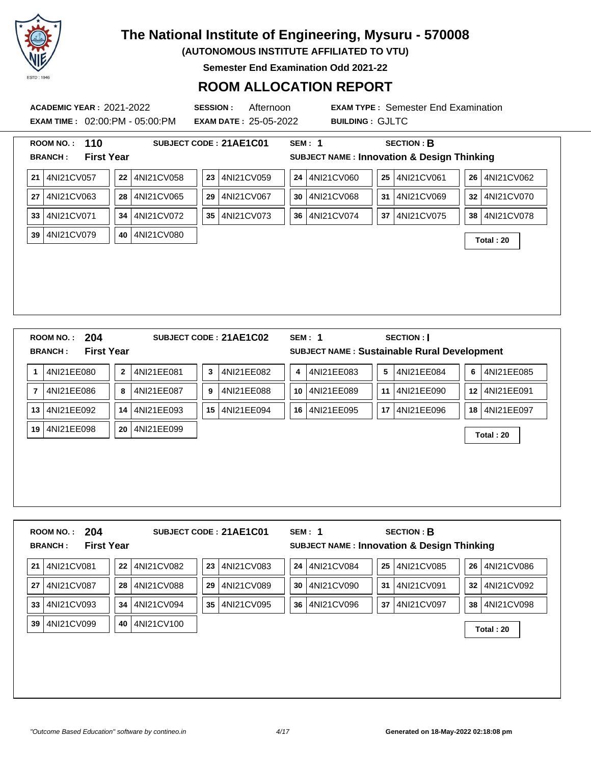

**(AUTONOMOUS INSTITUTE AFFILIATED TO VTU)**

**Semester End Examination Odd 2021-22**

### **ROOM ALLOCATION REPORT**

**ACADEMIC YEAR :** 2021-2022 **SESSION :** Afternoon **EXAM TYPE :** Semester End Examination **EXAM TIME :** 02:00:PM - 05:00:PM **EXAM DATE :** 25-05-2022 **BUILDING :** GJLTC **ROOM NO. : 110 SUBJECT CODE : 21AE1C01 SEM : 1 SECTION : B BRANCH : First Year SUBJECT NAME : Innovation & Design Thinking 21** 4NI21CV057 **22** 4NI21CV058 **23** 4NI21CV059 **24** 4NI21CV060 **25** 4NI21CV061 **26** 4NI21CV062 **27** 4NI21CV063 **28** 4NI21CV065 **29** 4NI21CV067 **30** 4NI21CV068 **31** 4NI21CV069 **32** 4NI21CV070 **33** 4NI21CV071 **34** 4NI21CV072 **35** 4NI21CV073 **36** 4NI21CV074 **37** 4NI21CV075 **38** 4NI21CV078 **<sup>39</sup>** 4NI21CV079 **<sup>40</sup>** 4NI21CV080 **Total : 20 ROOM NO. : 204 SUBJECT CODE : 21AE1C02 SEM : 1 SECTION : I BRANCH : First Year SUBJECT NAME : Sustainable Rural Development 1** 4NI21EE080 **2** 4NI21EE081 **3** 4NI21EE082 **4** 4NI21EE083 **5** 4NI21EE084 **6** 4NI21EE085 **7** 4NI21EE086 **8** 4NI21EE087 **9** 4NI21EE088 **10** 4NI21EE089 **11** 4NI21EE090 **12** 4NI21EE091 **13** 4NI21EE092 **14** 4NI21EE093 **15** 4NI21EE094 **16** 4NI21EE095 **17** 4NI21EE096 **18** 4NI21EE097 **<sup>19</sup>** 4NI21EE098 **<sup>20</sup>** 4NI21EE099 **Total : 20**

|    | 204<br><b>ROOM NO.:</b><br><b>First Year</b><br><b>BRANCH:</b> |    |            |    | SUBJECT CODE: 21AE1C01 |    | SEM: 1     |    | <b>SECTION: B</b><br><b>SUBJECT NAME: Innovation &amp; Design Thinking</b> |    |            |
|----|----------------------------------------------------------------|----|------------|----|------------------------|----|------------|----|----------------------------------------------------------------------------|----|------------|
| 21 | 4NI21CV081                                                     | 22 | 4NI21CV082 | 23 | 4NI21CV083             | 24 | 4NI21CV084 | 25 | 4NI21CV085                                                                 | 26 | 4NI21CV086 |
| 27 | 4NI21CV087                                                     | 28 | 4NI21CV088 | 29 | 4NI21CV089             | 30 | 4NI21CV090 | 31 | 4NI21CV091                                                                 | 32 | 4NI21CV092 |
| 33 | 4NI21CV093                                                     | 34 | 4NI21CV094 | 35 | 4NI21CV095             | 36 | 4NI21CV096 | 37 | 4NI21CV097                                                                 | 38 | 4NI21CV098 |
| 39 | 4NI21CV099                                                     | 40 | 4NI21CV100 |    |                        |    |            |    |                                                                            |    | Total: 20  |
|    |                                                                |    |            |    |                        |    |            |    |                                                                            |    |            |
|    |                                                                |    |            |    |                        |    |            |    |                                                                            |    |            |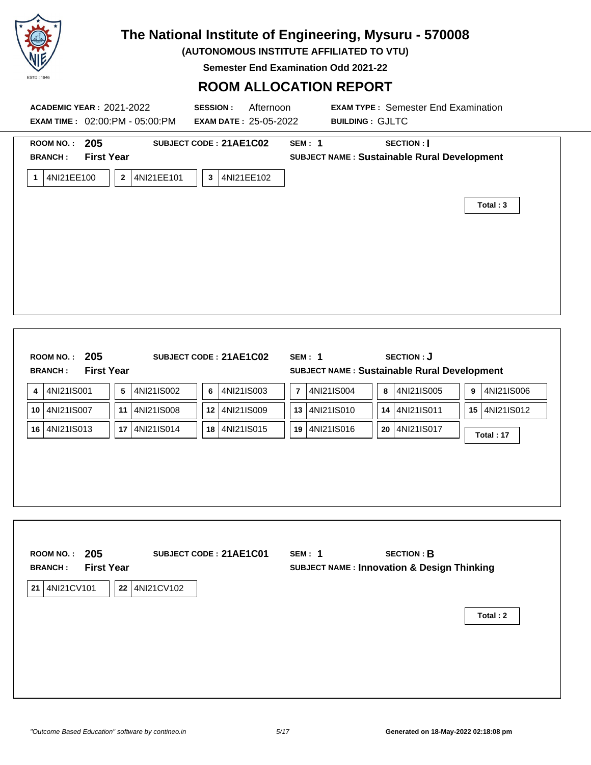

**(AUTONOMOUS INSTITUTE AFFILIATED TO VTU)**

**Semester End Examination Odd 2021-22**

| ROOM NO.: 205<br>SUBJECT CODE: 21AE1C02<br><b>SEM: 1</b><br><b>SECTION:</b><br><b>First Year</b><br>SUBJECT NAME : Sustainable Rural Development<br><b>BRANCH:</b><br>1 4NI21EE100<br>2 4NI21EE101<br>4NI21EE102<br>$\mathbf{3}$<br>Total: 3<br>ROOM NO.: 205<br><b>SUBJECT CODE: 21AE1C02</b><br><b>SEM: 1</b><br><b>SECTION: J</b><br><b>First Year</b><br>SUBJECT NAME : Sustainable Rural Development<br><b>BRANCH:</b><br>$\sqrt{5}$<br>4NI21IS004<br>4NI21IS006<br>4NI21IS001<br>4NI21IS002<br>4NI21IS003<br>8 4NI21IS005<br>6<br>$\overline{7}$<br>9<br>4<br>12 4NI21IS009<br>13 4NI21IS010<br>14 4NI21IS011<br>15 4NI21IS012<br>4NI21IS007<br>11<br>4NI21IS008<br>10<br>4NI21IS016<br>20 4NI21IS017<br>16 4NI21IS013<br>17   4NI21IS014<br>18 4NI21IS015<br>19<br>Total: 17 | <b>EXAM TIME: 02:00:PM - 05:00:PM</b> | <b>EXAM DATE: 25-05-2022</b> | <b>BUILDING: GJLTC</b>             |          |
|-------------------------------------------------------------------------------------------------------------------------------------------------------------------------------------------------------------------------------------------------------------------------------------------------------------------------------------------------------------------------------------------------------------------------------------------------------------------------------------------------------------------------------------------------------------------------------------------------------------------------------------------------------------------------------------------------------------------------------------------------------------------------------------|---------------------------------------|------------------------------|------------------------------------|----------|
|                                                                                                                                                                                                                                                                                                                                                                                                                                                                                                                                                                                                                                                                                                                                                                                     |                                       |                              |                                    |          |
|                                                                                                                                                                                                                                                                                                                                                                                                                                                                                                                                                                                                                                                                                                                                                                                     |                                       |                              |                                    |          |
|                                                                                                                                                                                                                                                                                                                                                                                                                                                                                                                                                                                                                                                                                                                                                                                     |                                       |                              |                                    |          |
|                                                                                                                                                                                                                                                                                                                                                                                                                                                                                                                                                                                                                                                                                                                                                                                     |                                       |                              |                                    |          |
|                                                                                                                                                                                                                                                                                                                                                                                                                                                                                                                                                                                                                                                                                                                                                                                     | 205                                   | SUBJECT CODE: 21AE1C01       | <b>SECTION: B</b><br><b>SEM: 1</b> |          |
| <b>ROOM NO.:</b><br><b>First Year</b><br><b>SUBJECT NAME: Innovation &amp; Design Thinking</b><br><b>BRANCH:</b>                                                                                                                                                                                                                                                                                                                                                                                                                                                                                                                                                                                                                                                                    |                                       |                              |                                    | Total: 2 |
| 21 4NI21CV101<br>22 4NI21CV102                                                                                                                                                                                                                                                                                                                                                                                                                                                                                                                                                                                                                                                                                                                                                      |                                       |                              |                                    |          |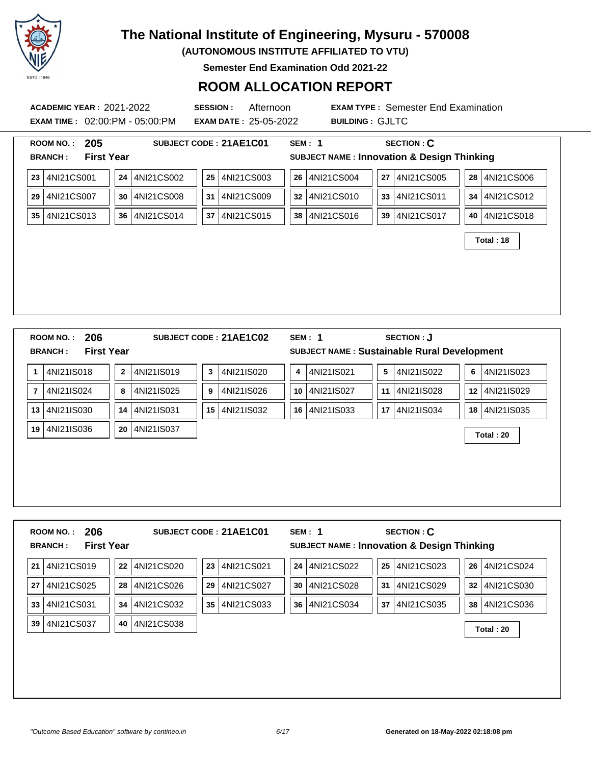

**(AUTONOMOUS INSTITUTE AFFILIATED TO VTU)**

**Semester End Examination Odd 2021-22**

### **ROOM ALLOCATION REPORT**

**ACADEMIC YEAR :** 2021-2022 **SESSION :** Afternoon **EXAM TYPE :** Semester End Examination **EXAM TIME :** 02:00:PM - 05:00:PM **EXAM DATE :** 25-05-2022 **BUILDING :** GJLTC **ROOM NO. : 205 SUBJECT CODE : 21AE1C01 SEM : 1 SECTION : C BRANCH : First Year SUBJECT NAME : Innovation & Design Thinking 23** 4NI21CS001 **24** 4NI21CS002 **25** 4NI21CS003 **26** 4NI21CS004 **27** 4NI21CS005 **28** 4NI21CS006 **29** 4NI21CS007 **30** 4NI21CS008 **31** 4NI21CS009 **32** 4NI21CS010 **33** 4NI21CS011 **34** 4NI21CS012 **35** 4NI21CS013 **36** 4NI21CS014 **37** 4NI21CS015 **38** 4NI21CS016 **39** 4NI21CS017 **40** 4NI21CS018 **Total : 18 ROOM NO. : 206 SUBJECT CODE : 21AE1C02 SEM : 1 SECTION : J BRANCH : First Year SUBJECT NAME : Sustainable Rural Development 1** 4NI21IS018 **2** 4NI21IS019 **3** 4NI21IS020 **4** 4NI21IS021 **5** 4NI21IS022 **6** 4NI21IS023 **7** 4NI21IS024 **8** 4NI21IS025 **9** 4NI21IS026 **10** 4NI21IS027 **11** 4NI21IS028 **12** 4NI21IS029 **13** 4NI21IS030 **14** 4NI21IS031 **15** 4NI21IS032 **16** 4NI21IS033 **17** 4NI21IS034 **18** 4NI21IS035 **<sup>19</sup>** 4NI21IS036 **<sup>20</sup>** 4NI21IS037 **Total : 20**

**ROOM NO. : 206 SUBJECT CODE : 21AE1C01 SEM : 1 SECTION : C BRANCH : First Year SUBJECT NAME : Innovation & Design Thinking** 4NI21CS019 **22** 4NI21CS020 **23** 4NI21CS021 **24** 4NI21CS022 **25** 4NI21CS023 **26** 4NI21CS024 4NI21CS025 **28** 4NI21CS026 **29** 4NI21CS027 **30** 4NI21CS028 **31** 4NI21CS029 **32** 4NI21CS030 4NI21CS031 **34** 4NI21CS032 **35** 4NI21CS033 **36** 4NI21CS034 **37** 4NI21CS035 **38** 4NI21CS036 4NI21CS037 **<sup>40</sup>** 4NI21CS038 **Total : 20**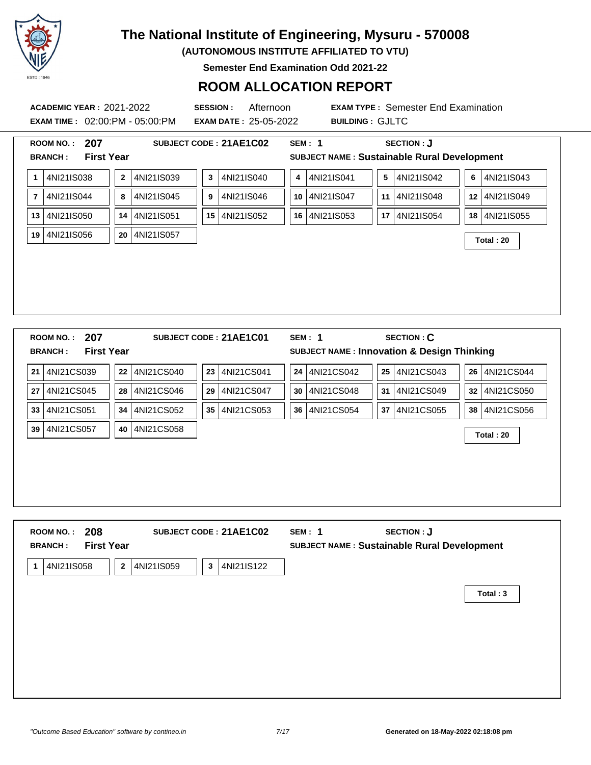

**(AUTONOMOUS INSTITUTE AFFILIATED TO VTU)**

**Semester End Examination Odd 2021-22**

### **ROOM ALLOCATION REPORT**

**EXAM TIME :** 02:00:PM - 05:00:PM **EXAM DATE :** 25-05-2022 **BUILDING :** GJLTC

| <b>First Year</b><br><b>BRANCH:</b><br>4NI21IS038<br>4NI21IS040<br>4NI21IS041<br>$\mathbf{2}$<br>4NI21IS039<br>3<br>1<br>4<br>4NI21IS044<br>8<br>4NI21IS045<br>4NI21IS046<br>4NI21IS047<br>$\overline{\mathbf{r}}$<br>9<br>10<br>4NI21IS052<br>4NI21IS053<br>4NI21IS050<br>4NI21IS051<br>13<br>14<br>15<br>16 | SUBJECT NAME : Sustainable Rural Development<br>4NI21IS042<br>5<br>6<br>4NI21IS048<br>11<br>12 | 4NI21IS043 |
|---------------------------------------------------------------------------------------------------------------------------------------------------------------------------------------------------------------------------------------------------------------------------------------------------------------|------------------------------------------------------------------------------------------------|------------|
|                                                                                                                                                                                                                                                                                                               |                                                                                                |            |
|                                                                                                                                                                                                                                                                                                               |                                                                                                |            |
|                                                                                                                                                                                                                                                                                                               |                                                                                                | 4NI21IS049 |
|                                                                                                                                                                                                                                                                                                               | 4NI21IS054<br>17<br>18                                                                         | 4NI21IS055 |
| 19 4NI21IS056<br>4NI21IS057<br>20                                                                                                                                                                                                                                                                             | Total: 20                                                                                      |            |
|                                                                                                                                                                                                                                                                                                               |                                                                                                |            |
|                                                                                                                                                                                                                                                                                                               |                                                                                                |            |
|                                                                                                                                                                                                                                                                                                               |                                                                                                |            |
|                                                                                                                                                                                                                                                                                                               |                                                                                                |            |
|                                                                                                                                                                                                                                                                                                               |                                                                                                |            |
|                                                                                                                                                                                                                                                                                                               |                                                                                                |            |
|                                                                                                                                                                                                                                                                                                               |                                                                                                |            |
|                                                                                                                                                                                                                                                                                                               |                                                                                                |            |
|                                                                                                                                                                                                                                                                                                               |                                                                                                |            |
|                                                                                                                                                                                                                                                                                                               |                                                                                                |            |
|                                                                                                                                                                                                                                                                                                               |                                                                                                |            |
| 207<br>SUBJECT CODE: 21AE1C01<br><b>SEM: 1</b>                                                                                                                                                                                                                                                                | <b>SECTION: C</b>                                                                              |            |
|                                                                                                                                                                                                                                                                                                               |                                                                                                |            |
| <b>First Year</b>                                                                                                                                                                                                                                                                                             | SUBJECT NAME : Innovation & Design Thinking                                                    |            |
| 4NI21CS039<br>4NI21CS041<br>4NI21CS042<br>4NI21CS040<br>24<br>22<br>23                                                                                                                                                                                                                                        | 4NI21CS043<br>$25\phantom{.0}$<br>26                                                           | 4NI21CS044 |
| 4NI21CS045<br>4NI21CS048<br>4NI21CS046<br>4NI21CS047<br>30<br>28<br>29                                                                                                                                                                                                                                        | 4NI21CS049<br>31<br>32                                                                         | 4NI21CS050 |
| 4NI21CS054<br>4NI21CS051<br>4NI21CS052<br>4NI21CS053<br>36<br>34<br>35 <sup>1</sup>                                                                                                                                                                                                                           | 4NI21CS055<br>37<br>38 <sup>°</sup>                                                            | 4NI21CS056 |
| <b>ROOM NO.:</b><br><b>BRANCH:</b><br>21<br>27<br>33<br>4NI21CS057<br>4NI21CS058<br>39<br>40                                                                                                                                                                                                                  | Total: 20                                                                                      |            |

|   | 208<br><b>ROOM NO.:</b><br><b>First Year</b><br><b>BRANCH:</b> |                            | SUBJECT CODE: 21AE1C02     | SEM: 1 | SECTION : J<br><b>SUBJECT NAME: Sustainable Rural Development</b> |          |
|---|----------------------------------------------------------------|----------------------------|----------------------------|--------|-------------------------------------------------------------------|----------|
| 1 | 4NI21IS058                                                     | 4NI21IS059<br>$\mathbf{2}$ | 4NI21IS122<br>$\mathbf{3}$ |        |                                                                   |          |
|   |                                                                |                            |                            |        |                                                                   | Total: 3 |
|   |                                                                |                            |                            |        |                                                                   |          |
|   |                                                                |                            |                            |        |                                                                   |          |
|   |                                                                |                            |                            |        |                                                                   |          |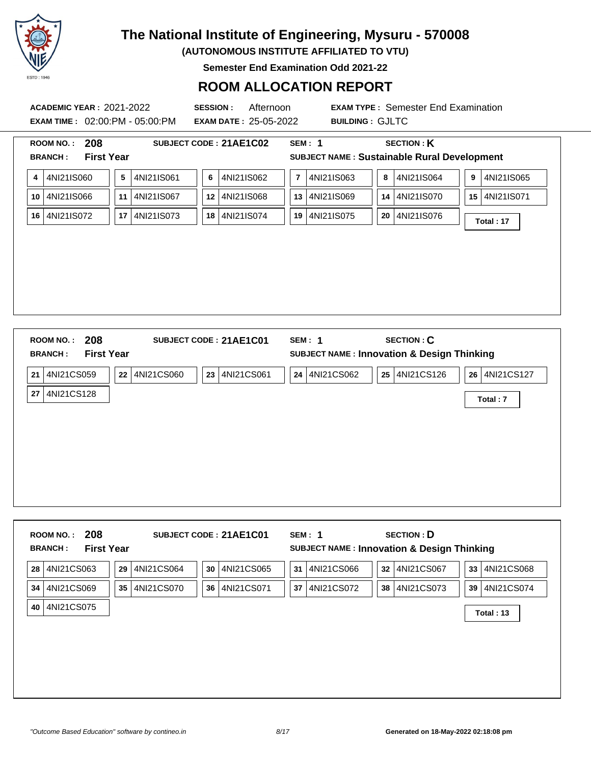

**(AUTONOMOUS INSTITUTE AFFILIATED TO VTU)**

**Semester End Examination Odd 2021-22**

### **ROOM ALLOCATION REPORT**

**EXAM TIME :** 02:00:PM - 05:00:PM **EXAM DATE :** 25-05-2022 **BUILDING :** GJLTC

| 208<br><b>ROOM NO.:</b>                         | SUBJECT CODE: 21AE1C02               | <b>SEM: 1</b>                                         | <b>SECTION: K</b>             |
|-------------------------------------------------|--------------------------------------|-------------------------------------------------------|-------------------------------|
| <b>First Year</b><br><b>BRANCH:</b>             |                                      | SUBJECT NAME : Sustainable Rural Development          |                               |
| 4NI21IS060<br>4                                 | 5<br>4NI21IS061<br>4NI21IS062<br>6   | 4NI21IS063<br>$\overline{7}$<br>8                     | 4NI21IS064<br>4NI21IS065<br>9 |
| 4NI21IS066<br>10                                | 4NI21IS067<br>4NI21IS068<br>11<br>12 | 13 4NI21IS069<br>14                                   | 4NI21IS070<br>15 4NI21IS071   |
| 4NI21IS072<br>16                                | 4NI21IS073<br>4NI21IS074<br>17<br>18 | 4NI21IS075<br>19<br>20                                | 4NI21IS076<br>Total: 17       |
|                                                 |                                      |                                                       |                               |
|                                                 |                                      |                                                       |                               |
|                                                 |                                      |                                                       |                               |
|                                                 |                                      |                                                       |                               |
|                                                 |                                      |                                                       |                               |
|                                                 |                                      |                                                       |                               |
|                                                 |                                      |                                                       |                               |
|                                                 |                                      |                                                       |                               |
| 208                                             | SUBJECT CODE: 21AE1C01               | <b>SEM: 1</b>                                         | <b>SECTION: C</b>             |
| <b>First Year</b>                               |                                      | <b>SUBJECT NAME: Innovation &amp; Design Thinking</b> |                               |
| ROOM NO.:<br><b>BRANCH:</b><br>21<br>4NI21CS059 | 4NI21CS060<br>23<br>4NI21CS061<br>22 | 24 4NI21CS062<br>$25\phantom{.0}$                     | 4NI21CS126<br>26 4NI21CS127   |
| 4NI21CS128<br>27                                |                                      |                                                       | Total: 7                      |

| 4NI21CS069<br>4NI21CS070<br>4NI21CS071<br>4NI21CS072<br>38 4NI21CS073<br>35<br>36<br>37<br>39 <sup>°</sup><br>Total: 13 | 4NI21CS063<br>28 | 29<br>4NI21CS064 | 4NI21CS065<br>30 | 4NI21CS066<br>31 | <b>SUBJECT NAME: Innovation &amp; Design Thinking</b><br>32 4NI21CS067 | 4NI21CS068<br>33 <sup>3</sup> |
|-------------------------------------------------------------------------------------------------------------------------|------------------|------------------|------------------|------------------|------------------------------------------------------------------------|-------------------------------|
|                                                                                                                         | 34               |                  |                  |                  |                                                                        | 4NI21CS074                    |
|                                                                                                                         | 4NI21CS075<br>40 |                  |                  |                  |                                                                        |                               |
|                                                                                                                         |                  |                  |                  |                  |                                                                        |                               |
|                                                                                                                         |                  |                  |                  |                  |                                                                        |                               |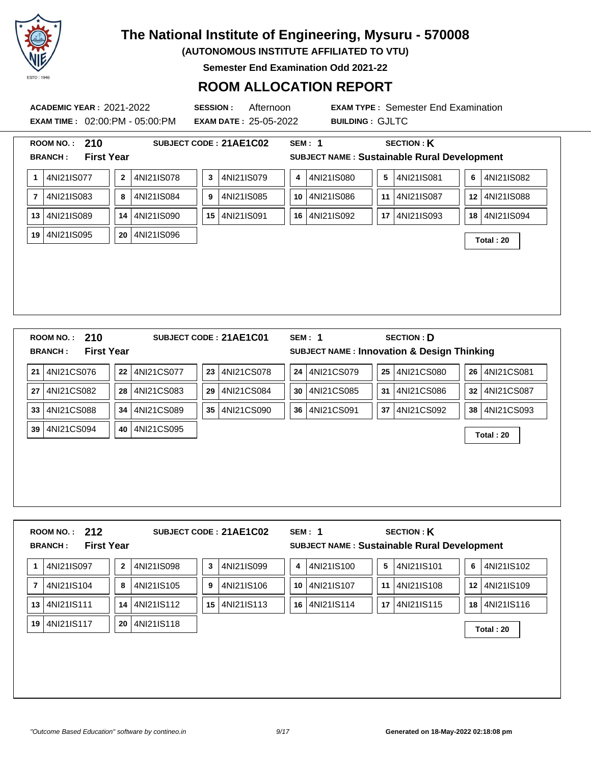

**(AUTONOMOUS INSTITUTE AFFILIATED TO VTU)**

**Semester End Examination Odd 2021-22**

### **ROOM ALLOCATION REPORT**

**EXAM TIME :** 02:00:PM - 05:00:PM **EXAM DATE :** 25-05-2022 **BUILDING :** GJLTC

|                      | 210<br><b>ROOM NO.:</b>             |             |            |                 | SUBJECT CODE: 21AE1C02 |    | <b>SEM: 1</b> | <b>SECTION: K</b>                                     |                 |               |
|----------------------|-------------------------------------|-------------|------------|-----------------|------------------------|----|---------------|-------------------------------------------------------|-----------------|---------------|
|                      | <b>First Year</b><br><b>BRANCH:</b> |             |            |                 |                        |    |               | SUBJECT NAME : Sustainable Rural Development          |                 |               |
| 1                    | 4NI21IS077                          | $\mathbf 2$ | 4NI21IS078 | $\mathbf{3}$    | 4NI21IS079             | 4  | 4NI21IS080    | $5\phantom{.0}$<br>4NI21IS081                         | 6               | 4NI21IS082    |
| $\overline{7}$       | 4NI21IS083                          | 8           | 4NI21IS084 | 9               | 4NI21IS085             | 10 | 4NI21IS086    | 4NI21IS087<br>11                                      |                 | 12 4NI21IS088 |
| 13                   | 4NI21IS089                          | 14          | 4NI21IS090 | 15 <sup>1</sup> | 4NI21IS091             | 16 | 4NI21IS092    | 4NI21IS093<br>17                                      |                 | 18 4NI21IS094 |
| 19                   | 4NI21IS095                          | 20          | 4NI21IS096 |                 |                        |    |               |                                                       |                 | Total: 20     |
|                      |                                     |             |            |                 |                        |    |               |                                                       |                 |               |
|                      |                                     |             |            |                 |                        |    |               |                                                       |                 |               |
|                      |                                     |             |            |                 |                        |    |               |                                                       |                 |               |
|                      |                                     |             |            |                 |                        |    |               |                                                       |                 |               |
|                      |                                     |             |            |                 |                        |    |               |                                                       |                 |               |
|                      |                                     |             |            |                 |                        |    |               |                                                       |                 |               |
|                      |                                     |             |            |                 |                        |    |               |                                                       |                 |               |
|                      |                                     |             |            |                 |                        |    |               |                                                       |                 |               |
|                      |                                     |             |            |                 |                        |    |               |                                                       |                 |               |
|                      |                                     |             |            |                 |                        |    |               |                                                       |                 |               |
|                      |                                     |             |            |                 |                        |    |               |                                                       |                 |               |
|                      |                                     |             |            |                 |                        |    |               |                                                       |                 |               |
|                      |                                     |             |            |                 |                        |    |               |                                                       |                 |               |
|                      | 210<br><b>ROOM NO.:</b>             |             |            |                 | SUBJECT CODE: 21AE1C01 |    | <b>SEM: 1</b> | <b>SECTION: D</b>                                     |                 |               |
|                      | <b>First Year</b><br><b>BRANCH:</b> |             |            |                 |                        |    |               |                                                       |                 |               |
|                      |                                     |             |            |                 |                        |    |               | <b>SUBJECT NAME: Innovation &amp; Design Thinking</b> |                 |               |
|                      | 4NI21CS076                          | 22          | 4NI21CS077 | 23              | 4NI21CS078             | 24 | 4NI21CS079    | 4NI21CS080<br>$25\phantom{.0}$                        |                 | 26 4NI21CS081 |
|                      |                                     |             |            |                 |                        |    |               |                                                       |                 |               |
|                      | 4NI21CS082                          | 28          | 4NI21CS083 | 29              | 4NI21CS084             | 30 | 4NI21CS085    | 4NI21CS086<br>31                                      | 32              | 4NI21CS087    |
|                      | 4NI21CS088                          | 34          | 4NI21CS089 | 35 <sub>1</sub> | 4NI21CS090             | 36 | 4NI21CS091    | 4NI21CS092<br>37                                      | 38 <sup>1</sup> | 4NI21CS093    |
|                      | 4NI21CS094                          | 40          | 4NI21CS095 |                 |                        |    |               |                                                       |                 |               |
|                      |                                     |             |            |                 |                        |    |               |                                                       |                 | Total: 20     |
|                      |                                     |             |            |                 |                        |    |               |                                                       |                 |               |
|                      |                                     |             |            |                 |                        |    |               |                                                       |                 |               |
|                      |                                     |             |            |                 |                        |    |               |                                                       |                 |               |
|                      |                                     |             |            |                 |                        |    |               |                                                       |                 |               |
| 21<br>27<br>33<br>39 |                                     |             |            |                 |                        |    |               |                                                       |                 |               |
|                      |                                     |             |            |                 |                        |    |               |                                                       |                 |               |
|                      |                                     |             |            |                 |                        |    |               |                                                       |                 |               |
|                      |                                     |             |            |                 |                        |    |               |                                                       |                 |               |

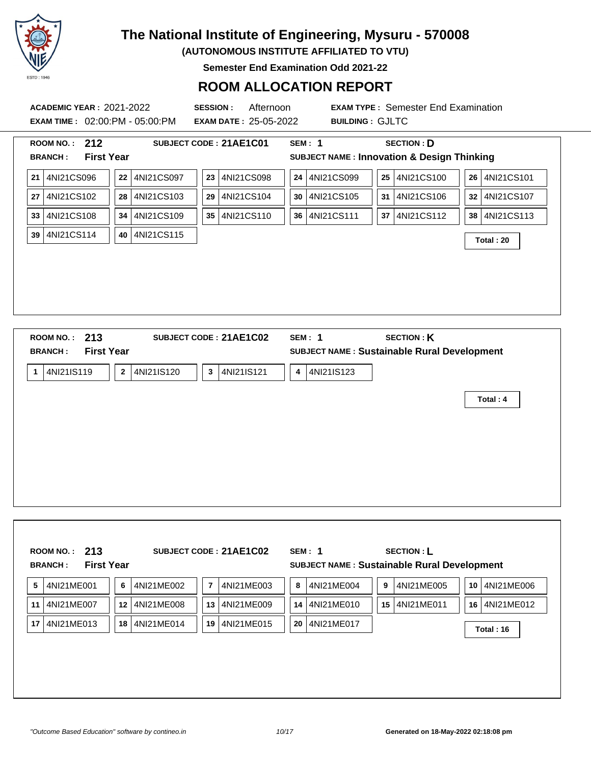

**(AUTONOMOUS INSTITUTE AFFILIATED TO VTU)**

**Semester End Examination Odd 2021-22**

| <b>ACADEMIC YEAR: 2021-2022</b>     |                                       | <b>SESSION:</b><br>Afternoon |                 | <b>EXAM TYPE: Semester End Examination</b>            |               |
|-------------------------------------|---------------------------------------|------------------------------|-----------------|-------------------------------------------------------|---------------|
|                                     | <b>EXAM TIME: 02:00:PM - 05:00:PM</b> | <b>EXAM DATE: 25-05-2022</b> |                 | <b>BUILDING: GJLTC</b>                                |               |
| ROOM NO.: 212                       |                                       | SUBJECT CODE: 21AE1C01       | <b>SEM: 1</b>   | <b>SECTION: D</b>                                     |               |
| <b>First Year</b><br><b>BRANCH:</b> |                                       |                              |                 | <b>SUBJECT NAME: Innovation &amp; Design Thinking</b> |               |
| 4NI21CS096<br>21 <sub>1</sub>       | 4NI21CS097<br>22                      | 23 4NI21CS098                | 24 4NI21CS099   | 25 4NI21CS100                                         | 26 4NI21CS101 |
| 4NI21CS102<br>27                    | 4NI21CS103<br>28                      | 4NI21CS104<br>29             | 30 4NI21CS105   | 4NI21CS106<br>31                                      | 32 4NI21CS107 |
| 4NI21CS108<br>33                    | 4NI21CS109<br>34                      | 35 4NI21CS110                | 36 4NI21CS111   | 4NI21CS112<br>37 <sup>1</sup>                         | 38 4NI21CS113 |
| 4NI21CS114<br>39                    | 4NI21CS115<br>40                      |                              |                 |                                                       | Total: 20     |
|                                     |                                       |                              |                 |                                                       |               |
|                                     |                                       |                              |                 |                                                       |               |
|                                     |                                       |                              |                 |                                                       |               |
|                                     |                                       |                              |                 |                                                       |               |
|                                     |                                       |                              |                 |                                                       |               |
|                                     |                                       |                              |                 |                                                       |               |
| ROOM NO.: 213                       |                                       | SUBJECT CODE: 21AE1C02       | <b>SEM: 1</b>   | <b>SECTION: K</b>                                     |               |
| <b>First Year</b><br><b>BRANCH:</b> |                                       |                              |                 | SUBJECT NAME : Sustainable Rural Development          |               |
| 4NI21IS119<br>$\mathbf{1}$          | 4NI21IS120<br>$\mathbf{2}$            | 4NI21IS121<br>3 <sup>1</sup> | 4NI21IS123<br>4 |                                                       |               |
|                                     |                                       |                              |                 |                                                       | Total: 4      |
|                                     |                                       |                              |                 |                                                       |               |
|                                     |                                       |                              |                 |                                                       |               |
|                                     |                                       |                              |                 |                                                       |               |

|    |            |    |            |                |            |    | SUBJECT NAME : Sustainable Rural Development |    |            |    |            |
|----|------------|----|------------|----------------|------------|----|----------------------------------------------|----|------------|----|------------|
| 5  | 4NI21ME001 | 6  | 4NI21ME002 | $\overline{7}$ | 4NI21ME003 | 8  | 4NI21ME004                                   | 9  | 4NI21ME005 | 10 | 4NI21ME006 |
| 11 | 4NI21ME007 | 12 | 4NI21ME008 | 13             | 4NI21ME009 | 14 | 4NI21ME010                                   | 15 | 4NI21ME011 | 16 | 4NI21ME012 |
| 17 | 4NI21ME013 | 18 | 4NI21ME014 | 19             | 4NI21ME015 | 20 | 4NI21ME017                                   |    |            |    | Total: 16  |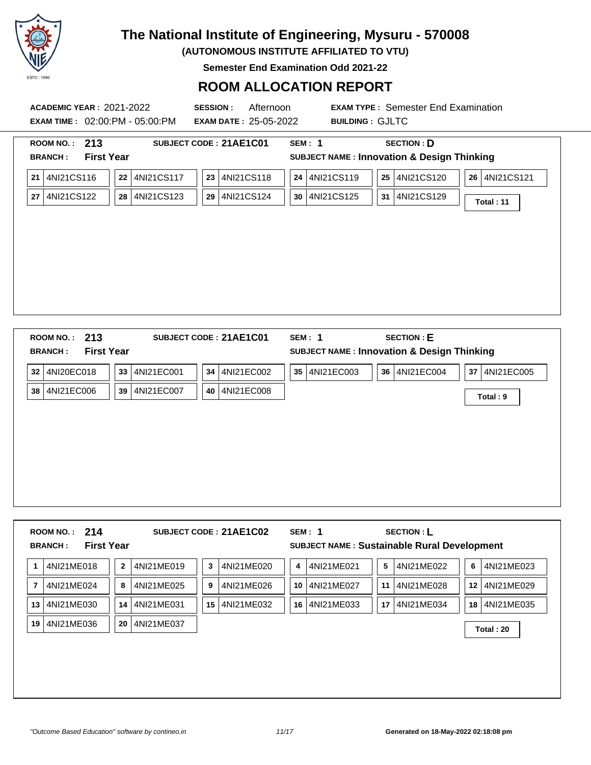

**(AUTONOMOUS INSTITUTE AFFILIATED TO VTU)**

**Semester End Examination Odd 2021-22**

| <b>First Year</b><br><b>BRANCH:</b> |    |            |                  |                  |                                                       |                  |
|-------------------------------------|----|------------|------------------|------------------|-------------------------------------------------------|------------------|
|                                     |    |            |                  |                  | <b>SUBJECT NAME: Innovation &amp; Design Thinking</b> |                  |
| 21 4NI21CS116                       | 22 | 4NI21CS117 | 4NI21CS118<br>23 | 4NI21CS119<br>24 | 4NI21CS120<br>25                                      | 4NI21CS121<br>26 |
| 27 4NI21CS122                       | 28 |            | 29 4NI21CS124    | 30   4NI21CS125  | 4NI21CS129<br>31                                      | Total: 11        |
|                                     |    |            |                  |                  |                                                       |                  |
|                                     |    |            | 4NI21CS123       |                  |                                                       |                  |

| 32 4NI20EC018 | 33 | 4NI21EC001 |    | 34 4NI21EC002 | 35   4NI21EC003 | 36   4NI21EC004 | 37 4NI21EC005 |
|---------------|----|------------|----|---------------|-----------------|-----------------|---------------|
| 38 4NI21EC006 | 39 | 4NI21EC007 | 40 | 4NI21EC008    |                 |                 | Total: 9      |
|               |    |            |    |               |                 |                 |               |
|               |    |            |    |               |                 |                 |               |
|               |    |            |    |               |                 |                 |               |
|               |    |            |    |               |                 |                 |               |
|               |    |            |    |               |                 |                 |               |
|               |    |            |    |               |                 |                 |               |
|               |    |            |    |               |                 |                 |               |
|               |    |            |    |               |                 |                 |               |

|    |            | <b>First Year</b> |            |    | SUBJECT CODE: 21AE1C02 |    | SEM: 1     |    | <b>SECTION: L</b><br>SUBJECT NAME : Sustainable Rural Development |                 |            |
|----|------------|-------------------|------------|----|------------------------|----|------------|----|-------------------------------------------------------------------|-----------------|------------|
| 1  | 4NI21ME018 | $\mathbf{2}$      | 4NI21ME019 | 3  | 4NI21ME020             | 4  | 4NI21ME021 | 5  | 4NI21ME022                                                        | 6               | 4NI21ME023 |
| 7  | 4NI21ME024 | 8                 | 4NI21ME025 | 9  | 4NI21ME026             | 10 | 4NI21ME027 | 11 | 4NI21ME028                                                        | 12 <sup>1</sup> | 4NI21ME029 |
| 13 | 4NI21ME030 | 14                | 4NI21ME031 | 15 | 4NI21ME032             | 16 | 4NI21ME033 | 17 | 4NI21ME034                                                        | 18 <sup>1</sup> | 4NI21ME035 |
| 19 | 4NI21ME036 | 20                | 4NI21ME037 |    |                        |    |            |    |                                                                   |                 | Total: 20  |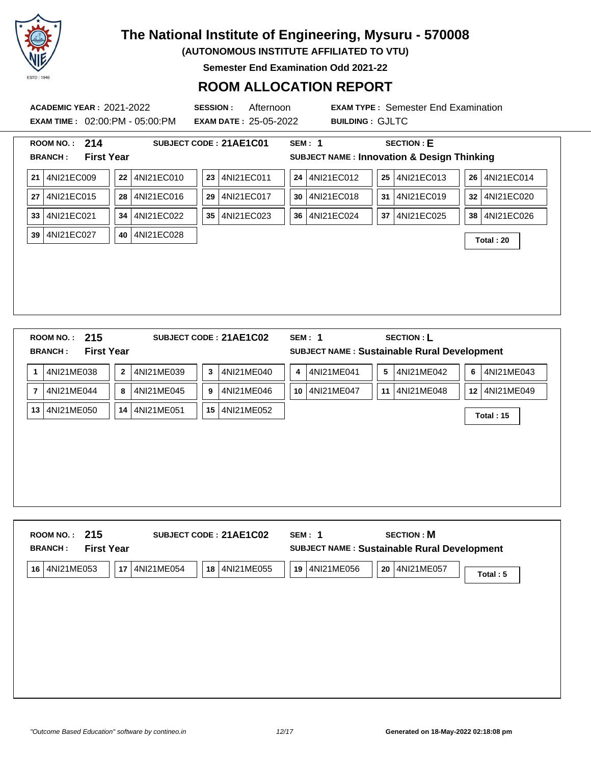

**(AUTONOMOUS INSTITUTE AFFILIATED TO VTU)**

**Semester End Examination Odd 2021-22**

### **ROOM ALLOCATION REPORT**

**ACADEMIC YEAR :** 2021-2022 **SESSION :** Afternoon **EXAM TYPE :** Semester End Examination **EXAM TIME :** 02:00:PM - 05:00:PM **EXAM DATE :** 25-05-2022 **BUILDING :** GJLTC **ROOM NO. : 214 SUBJECT CODE : 21AE1C01 SEM : 1 SECTION : E BRANCH : First Year SUBJECT NAME : Innovation & Design Thinking 21** 4NI21EC009 **22** 4NI21EC010 **23** 4NI21EC011 **24** 4NI21EC012 **25** 4NI21EC013 **26** 4NI21EC014 **27** 4NI21EC015 **28** 4NI21EC016 **29** 4NI21EC017 **30** 4NI21EC018 **31** 4NI21EC019 **32** 4NI21EC020 **33** 4NI21EC021 **34** 4NI21EC022 **35** 4NI21EC023 **36** 4NI21EC024 **37** 4NI21EC025 **38** 4NI21EC026 **<sup>39</sup>** 4NI21EC027 **<sup>40</sup>** 4NI21EC028 **Total : 20 ROOM NO. : 215 SUBJECT CODE : 21AE1C02 SEM : 1 SECTION : L BRANCH : First Year SUBJECT NAME : Sustainable Rural Development 1** 4NI21ME038 **2** 4NI21ME039 **3** 4NI21ME040 **4** 4NI21ME041 **5** 4NI21ME042 **6** 4NI21ME043 **7** 4NI21ME044 **8** 4NI21ME045 **9** 4NI21ME046 **10** 4NI21ME047 **11** 4NI21ME048 **12** 4NI21ME049 **<sup>13</sup>** 4NI21ME050 **<sup>14</sup>** 4NI21ME051 **<sup>15</sup>** 4NI21ME052 **Total : 15**

| 215<br><b>ROOM NO.:</b><br><b>First Year</b><br><b>BRANCH:</b> | SUBJECT CODE: 21AE1C02         | <b>SECTION: M</b><br>SEM: 1<br>SUBJECT NAME : Sustainable Rural Development |          |
|----------------------------------------------------------------|--------------------------------|-----------------------------------------------------------------------------|----------|
| 4NI21ME053<br>17<br>16                                         | 4NI21ME054<br>4NI21ME055<br>18 | 4NI21ME056<br>4NI21ME057<br>20<br>19                                        | Total: 5 |
|                                                                |                                |                                                                             |          |
|                                                                |                                |                                                                             |          |
|                                                                |                                |                                                                             |          |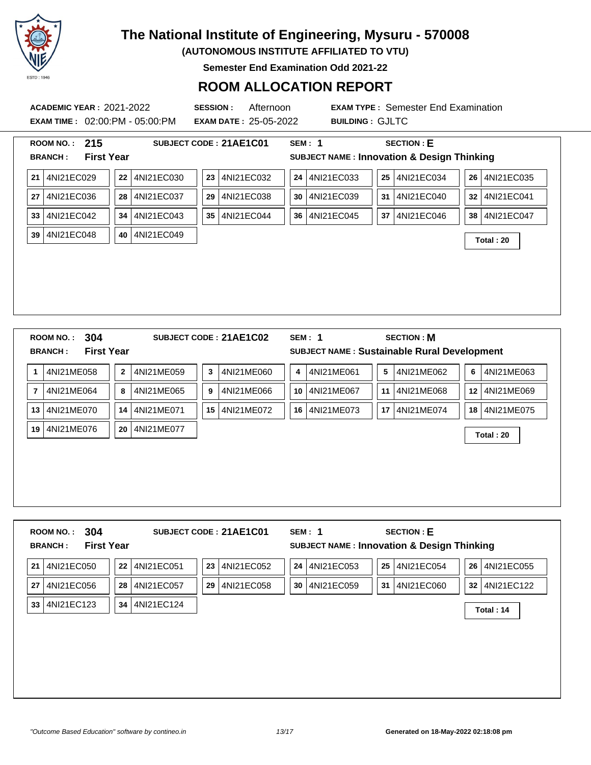

**(AUTONOMOUS INSTITUTE AFFILIATED TO VTU)**

**Semester End Examination Odd 2021-22**

### **ROOM ALLOCATION REPORT**

**ACADEMIC YEAR :** 2021-2022 **SESSION :** Afternoon **EXAM TYPE :** Semester End Examination **EXAM TIME :** 02:00:PM - 05:00:PM **EXAM DATE :** 25-05-2022 **BUILDING :** GJLTC **ROOM NO. : 215 SUBJECT CODE : 21AE1C01 SEM : 1 SECTION : E BRANCH : First Year SUBJECT NAME : Innovation & Design Thinking 21** 4NI21EC029 **22** 4NI21EC030 **23** 4NI21EC032 **24** 4NI21EC033 **25** 4NI21EC034 **26** 4NI21EC035 **27** 4NI21EC036 **28** 4NI21EC037 **29** 4NI21EC038 **30** 4NI21EC039 **31** 4NI21EC040 **32** 4NI21EC041 **33** 4NI21EC042 **34** 4NI21EC043 **35** 4NI21EC044 **36** 4NI21EC045 **37** 4NI21EC046 **38** 4NI21EC047 **<sup>39</sup>** 4NI21EC048 **<sup>40</sup>** 4NI21EC049 **Total : 20 ROOM NO. : 304 SUBJECT CODE : 21AE1C02 SEM : 1 SECTION : M BRANCH : First Year SUBJECT NAME : Sustainable Rural Development 1** 4NI21ME058 **2** 4NI21ME059 **3** 4NI21ME060 **4** 4NI21ME061 **5** 4NI21ME062 **6** 4NI21ME063 **7** 4NI21ME064 **8** 4NI21ME065 **9** 4NI21ME066 **10** 4NI21ME067 **11** 4NI21ME068 **12** 4NI21ME069 **13** 4NI21ME070 **14** 4NI21ME071 **15** 4NI21ME072 **16** 4NI21ME073 **17** 4NI21ME074 **18** 4NI21ME075 **<sup>19</sup>** 4NI21ME076 **<sup>20</sup>** 4NI21ME077 **Total : 20**

|                  |            |                  |                  | <b>SUBJECT NAME: Innovation &amp; Design Thinking</b> |                  |
|------------------|------------|------------------|------------------|-------------------------------------------------------|------------------|
| 4NI21EC050<br>22 | 4NI21EC051 | 4NI21EC052<br>23 | 24<br>4NI21EC053 | 4NI21EC054<br>25                                      | 26<br>4NI21EC055 |
| 28<br>4NI21EC056 | 4NI21EC057 | 29<br>4NI21EC058 | 30<br>4NI21EC059 | 31<br>4NI21EC060                                      | 32 4NI21EC122    |
| 34<br>4NI21EC123 | 4NI21EC124 |                  |                  |                                                       | Total: 14        |
|                  |            |                  |                  |                                                       |                  |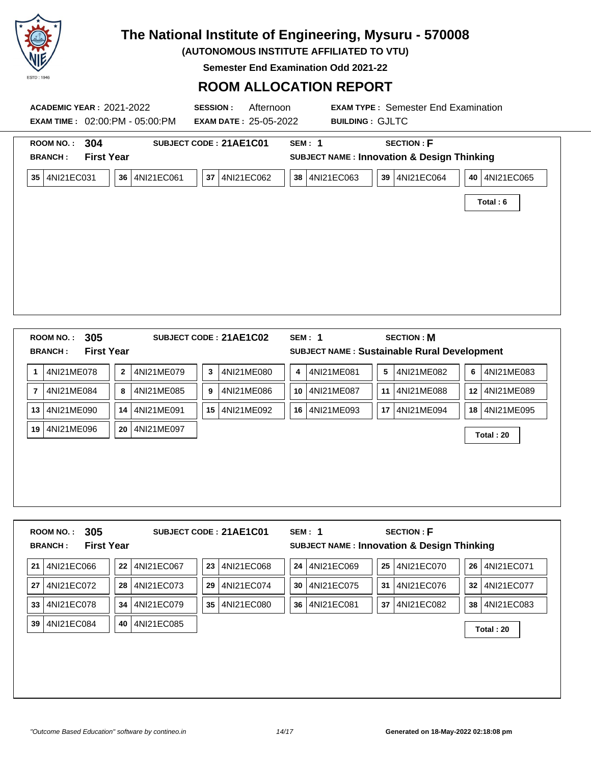

**(AUTONOMOUS INSTITUTE AFFILIATED TO VTU)**

**Semester End Examination Odd 2021-22**

| 304<br><b>ROOM NO.:</b><br><b>BRANCH:</b>                                     | <b>First Year</b>          | SUBJECT CODE: 21AE1C01        | <b>SEM: 1</b>    | <b>SECTION: F</b><br><b>SUBJECT NAME: Innovation &amp; Design Thinking</b> |                           |
|-------------------------------------------------------------------------------|----------------------------|-------------------------------|------------------|----------------------------------------------------------------------------|---------------------------|
| 4NI21EC031<br>35                                                              | 4NI21EC061<br>36           | 4NI21EC062<br>37              | 4NI21EC063<br>38 | 39 <br>4NI21EC064                                                          | 40 4NI21EC065<br>Total: 6 |
|                                                                               |                            |                               |                  |                                                                            |                           |
| 305                                                                           | <b>First Year</b>          | SUBJECT CODE: 21AE1C02        | <b>SEM: 1</b>    | <b>SECTION: M</b><br>SUBJECT NAME : Sustainable Rural Development          |                           |
| 4NI21ME078                                                                    | 4NI21ME079<br>$\mathbf{2}$ | 4NI21ME080<br>3               | 4NI21ME081<br>4  | 5 <sup>1</sup><br>4NI21ME082                                               | 4NI21ME083<br>6           |
| 4NI21ME084                                                                    | 8<br>4NI21ME085            | 9<br>4NI21ME086               | 10<br>4NI21ME087 | 11<br>4NI21ME088                                                           | 12 4NI21ME089             |
| <b>ROOM NO.:</b><br><b>BRANCH:</b><br>1<br>$\overline{7}$<br>4NI21ME090<br>13 | 4NI21ME091<br>14           | 4NI21ME092<br>15 <sup>1</sup> | 4NI21ME093<br>16 | 4NI21ME094<br>17 <sup>1</sup>                                              | 18 4NI21ME095             |

|    | 305<br><b>ROOM NO.:</b>             |         |            |    | SUBJECT CODE: 21AE1C01 | SEM: 1 |            |    | <b>SECTION: F</b>                                     |                 |            |
|----|-------------------------------------|---------|------------|----|------------------------|--------|------------|----|-------------------------------------------------------|-----------------|------------|
|    | <b>First Year</b><br><b>BRANCH:</b> |         |            |    |                        |        |            |    | <b>SUBJECT NAME: Innovation &amp; Design Thinking</b> |                 |            |
| 21 | 4NI21EC066                          | $22 \,$ | 4NI21EC067 | 23 | 4NI21EC068             | 24     | 4NI21EC069 | 25 | 4NI21EC070                                            | 26 <sup>1</sup> | 4NI21EC071 |
| 27 | 4NI21EC072                          | 28      | 4NI21EC073 | 29 | 4NI21EC074             | 30     | 4NI21EC075 | 31 | 4NI21EC076                                            | 32 <sub>2</sub> | 4NI21EC077 |
| 33 | 4NI21EC078                          | 34      | 4NI21EC079 | 35 | 4NI21EC080             | 36     | 4NI21EC081 | 37 | 4NI21EC082                                            | 38 <sup>1</sup> | 4NI21EC083 |
| 39 | 4NI21EC084                          | 40      | 4NI21EC085 |    |                        |        |            |    |                                                       |                 | Total: 20  |
|    |                                     |         |            |    |                        |        |            |    |                                                       |                 |            |
|    |                                     |         |            |    |                        |        |            |    |                                                       |                 |            |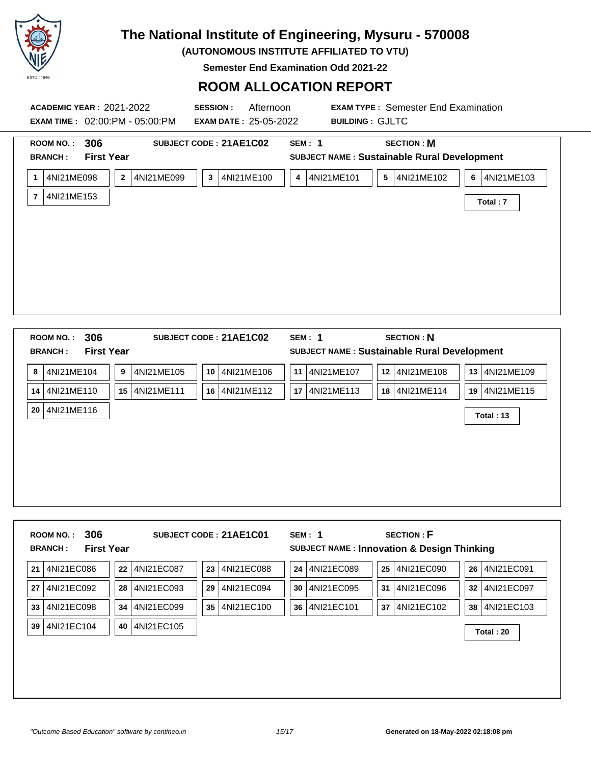

**(AUTONOMOUS INSTITUTE AFFILIATED TO VTU)**

**Semester End Examination Odd 2021-22**

| <b>ACADEMIC YEAR: 2021-2022</b><br><b>EXAM TIME: 02:00:PM - 05:00:PM</b>                                          | <b>SESSION:</b><br>Afternoon<br><b>EXAM DATE: 25-05-2022</b>            | <b>EXAM TYPE: Semester End Examination</b><br><b>BUILDING: GJLTC</b>                                                                                                          |  |
|-------------------------------------------------------------------------------------------------------------------|-------------------------------------------------------------------------|-------------------------------------------------------------------------------------------------------------------------------------------------------------------------------|--|
| <b>ROOM NO.:</b><br>306<br><b>First Year</b><br><b>BRANCH:</b><br>4NI21ME098<br>1<br>4NI21ME153<br>$\overline{7}$ | SUBJECT CODE: 21AE1C02<br>4NI21ME099<br>4NI21ME100<br>$\mathbf{2}$<br>3 | <b>SECTION: M</b><br><b>SEM: 1</b><br>SUBJECT NAME : Sustainable Rural Development<br>4NI21ME101<br>$\overline{\mathbf{5}}$<br>4NI21ME102<br>4NI21ME103<br>6<br>4<br>Total: 7 |  |
| 306<br><b>ROOM NO.:</b><br><b>First Year</b><br><b>BRANCH:</b>                                                    | SUBJECT CODE: 21AE1C02                                                  | <b>SECTION: N</b><br><b>SEM: 1</b><br>SUBJECT NAME : Sustainable Rural Development                                                                                            |  |
| 4NI21ME104<br>8                                                                                                   | 4NI21ME105<br>10 4NI21ME106<br>9                                        | 11 4NI21ME107<br>12 4NI21ME108<br>13 4NI21ME109                                                                                                                               |  |
| 14 4NI21ME110                                                                                                     | 15 4NI21ME111<br>16 4NI21ME112                                          | 17 4NI21ME113<br>18 4NI21ME114<br>19 4NI21ME115                                                                                                                               |  |
| 4NI21ME116<br>20 <sub>1</sub>                                                                                     |                                                                         | Total: 13                                                                                                                                                                     |  |

| 306<br><b>ROOM NO.:</b><br><b>BRANCH:</b> | <b>First Year</b> | SUBJECT CODE: 21AE1C01 | SEM: 1     | <b>SECTION: F</b><br><b>SUBJECT NAME: Innovation &amp; Design Thinking</b> |               |
|-------------------------------------------|-------------------|------------------------|------------|----------------------------------------------------------------------------|---------------|
| 4NI21EC086                                | 4NI21EC087        | 4NI21EC088             | 4NI21EC089 | 25                                                                         | 26 4NI21EC091 |
| 21                                        | 22                | 23                     | 24         | 4NI21EC090                                                                 |               |
| 4NI21EC092                                | 4NI21EC093        | 29                     | 4NI21EC095 | 31                                                                         | 32 4NI21EC097 |
| 27                                        | 28                | 4NI21EC094             | 30         | 4NI21EC096                                                                 |               |
| 4NI21EC098                                | 4NI21EC099        | 35                     | 4NI21EC101 | 37                                                                         | 38 4NI21EC103 |
| 33                                        | 34                | 4NI21EC100             | 36         | 4NI21EC102                                                                 |               |
| 4NI21EC104<br>39                          | 4NI21EC105<br>40  |                        |            |                                                                            | Total: 20     |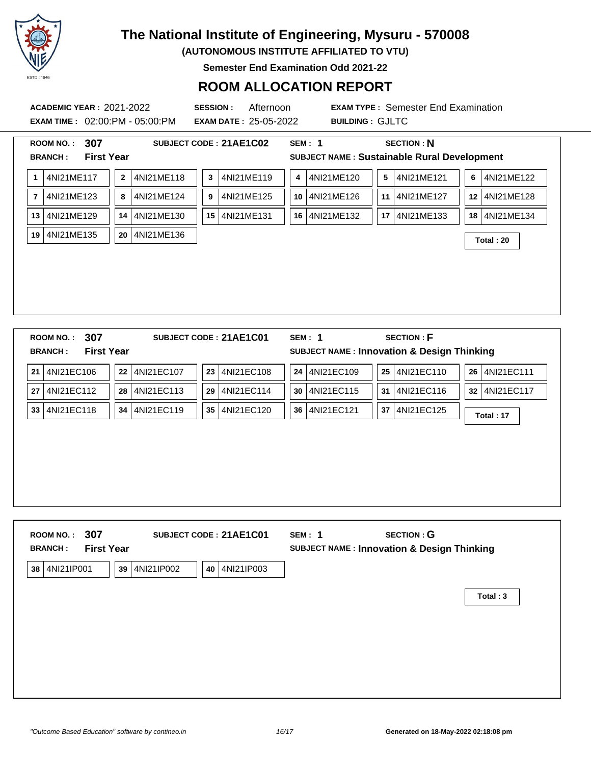

**(AUTONOMOUS INSTITUTE AFFILIATED TO VTU)**

**Semester End Examination Odd 2021-22**

### **ROOM ALLOCATION REPORT**

**EXAM TIME :** 02:00:PM - 05:00:PM **EXAM DATE :** 25-05-2022 **BUILDING :** GJLTC

| <b>First Year</b><br><b>BRANCH:</b>          |                            |                        |                  | <b>SECTION: N</b>                                     |                  |  |  |  |  |  |
|----------------------------------------------|----------------------------|------------------------|------------------|-------------------------------------------------------|------------------|--|--|--|--|--|
| SUBJECT NAME : Sustainable Rural Development |                            |                        |                  |                                                       |                  |  |  |  |  |  |
| 4NI21ME117<br>1                              | 4NI21ME118<br>$\mathbf{2}$ | 4NI21ME119<br>3        | 4NI21ME120<br>4  | 4NI21ME121<br>5                                       | 4NI21ME122<br>6  |  |  |  |  |  |
| 4NI21ME123<br>7                              | 4NI21ME124<br>8            | 4NI21ME125<br>9        | 4NI21ME126<br>10 | 4NI21ME127<br>11 <sup>1</sup>                         | 12 4NI21ME128    |  |  |  |  |  |
| 4NI21ME129<br>13                             | 4NI21ME130<br>14           | 4NI21ME131<br>15       | 4NI21ME132<br>16 | 4NI21ME133<br>17                                      | 4NI21ME134<br>18 |  |  |  |  |  |
| 4NI21ME135<br>19                             | 4NI21ME136<br>20           |                        |                  |                                                       | Total: 20        |  |  |  |  |  |
|                                              |                            |                        |                  |                                                       |                  |  |  |  |  |  |
|                                              |                            |                        |                  |                                                       |                  |  |  |  |  |  |
|                                              |                            |                        |                  |                                                       |                  |  |  |  |  |  |
|                                              |                            |                        |                  |                                                       |                  |  |  |  |  |  |
|                                              |                            |                        |                  |                                                       |                  |  |  |  |  |  |
|                                              |                            |                        |                  |                                                       |                  |  |  |  |  |  |
|                                              |                            |                        |                  |                                                       |                  |  |  |  |  |  |
|                                              |                            |                        |                  |                                                       |                  |  |  |  |  |  |
|                                              |                            |                        |                  |                                                       |                  |  |  |  |  |  |
|                                              |                            |                        |                  |                                                       |                  |  |  |  |  |  |
| 307<br><b>ROOM NO.:</b>                      |                            | SUBJECT CODE: 21AE1C01 | <b>SEM: 1</b>    | <b>SECTION: F</b>                                     |                  |  |  |  |  |  |
| <b>First Year</b><br><b>BRANCH:</b>          |                            |                        |                  | <b>SUBJECT NAME: Innovation &amp; Design Thinking</b> |                  |  |  |  |  |  |
| 4NI21EC106<br>21                             | 4NI21EC107<br>22           | 4NI21EC108<br>23       | 4NI21EC109<br>24 | 25 4NI21EC110                                         | 26 4NI21EC111    |  |  |  |  |  |
| 4NI21EC112<br>27                             | 4NI21EC113<br>28           | 4NI21EC114<br>29       | 4NI21EC115<br>30 | 4NI21EC116<br>31 <sup>1</sup>                         | 32 4NI21EC117    |  |  |  |  |  |
| 4NI21EC118<br>33                             | 4NI21EC119<br>34           | 4NI21EC120<br>35       | 4NI21EC121<br>36 | 4NI21EC125<br>37 I                                    |                  |  |  |  |  |  |
|                                              |                            |                        |                  |                                                       | Total: 17        |  |  |  |  |  |
|                                              |                            |                        |                  |                                                       |                  |  |  |  |  |  |
|                                              |                            |                        |                  |                                                       |                  |  |  |  |  |  |

| ROOM NO.: 307<br><b>First Year</b><br><b>BRANCH:</b> | SUBJECT CODE: 21AE1C01         | <b>SECTION: G</b><br>SEM: 1<br><b>SUBJECT NAME: Innovation &amp; Design Thinking</b> |
|------------------------------------------------------|--------------------------------|--------------------------------------------------------------------------------------|
| 4NI21IP001<br>39<br>38                               | 4NI21IP003<br>4NI21IP002<br>40 |                                                                                      |
|                                                      |                                | Total: 3                                                                             |
|                                                      |                                |                                                                                      |
|                                                      |                                |                                                                                      |
|                                                      |                                |                                                                                      |
|                                                      |                                |                                                                                      |